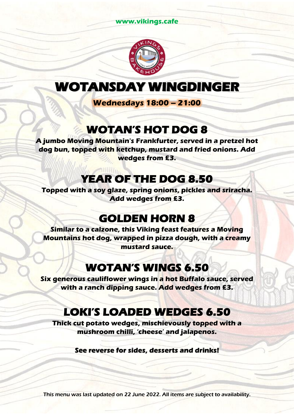#### **www.vikings.cafe**



## **WOTANSDAY WINGDINGER**

**Wednesdays 18:00 – 21:00**

## **WOTAN'S HOT DOG 8**

**A jumbo Moving Mountain's Frankfurter, served in a pretzel hot dog bun, topped with ketchup, mustard and fried onions. Add wedges from £3.**

## **YEAR OF THE DOG 8.50**

**Topped with a soy glaze, spring onions, pickles and sriracha. Add wedges from £3.**

## **GOLDEN HORN 8**

**Similar to a calzone, this Viking feast features a Moving Mountains hot dog, wrapped in pizza dough, with a creamy mustard sauce.**

## **WOTAN'S WINGS 6.50**

**Six generous cauliflower wings in a hot Buffalo sauce, served with a ranch dipping sauce. Add wedges from £3.**

# **LOKI'S LOADED WEDGES 6.50**

**Thick cut potato wedges, mischievously topped with a mushroom chilli, 'cheese' and jalapenos.**

**See reverse for sides, desserts and drinks!**

This menu was last updated on 22 June 2022. All items are subject to availability.